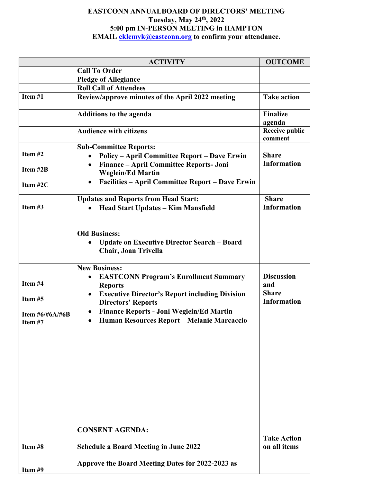## **EASTCONN ANNUALBOARD OF DIRECTORS' MEETING Tuesday, May 24th, 2022 5:00 pm IN-PERSON MEETING in HAMPTON EMAIL [cklemyk@eastconn.org](mailto:cklemyk@eastconn.org) to confirm your attendance.**

|                                                       | <b>ACTIVITY</b>                                                                                                                                                                                                                                                                                                      | <b>OUTCOME</b>                                                 |
|-------------------------------------------------------|----------------------------------------------------------------------------------------------------------------------------------------------------------------------------------------------------------------------------------------------------------------------------------------------------------------------|----------------------------------------------------------------|
|                                                       | <b>Call To Order</b>                                                                                                                                                                                                                                                                                                 |                                                                |
|                                                       | <b>Pledge of Allegiance</b>                                                                                                                                                                                                                                                                                          |                                                                |
|                                                       | <b>Roll Call of Attendees</b>                                                                                                                                                                                                                                                                                        |                                                                |
| Item #1                                               | Review/approve minutes of the April 2022 meeting                                                                                                                                                                                                                                                                     | <b>Take action</b>                                             |
|                                                       | <b>Additions to the agenda</b>                                                                                                                                                                                                                                                                                       | <b>Finalize</b><br>agenda                                      |
|                                                       | <b>Audience with citizens</b>                                                                                                                                                                                                                                                                                        | <b>Receive public</b><br>comment                               |
| Item $#2$                                             | <b>Sub-Committee Reports:</b><br><b>Policy - April Committee Report - Dave Erwin</b><br>$\bullet$                                                                                                                                                                                                                    | <b>Share</b>                                                   |
| Item #2B                                              | Finance - April Committee Reports- Joni<br>$\bullet$<br><b>Weglein/Ed Martin</b>                                                                                                                                                                                                                                     | <b>Information</b>                                             |
| Item $#2C$                                            | <b>Facilities – April Committee Report – Dave Erwin</b><br>$\bullet$                                                                                                                                                                                                                                                 |                                                                |
| Item $#3$                                             | <b>Updates and Reports from Head Start:</b><br><b>Head Start Updates - Kim Mansfield</b>                                                                                                                                                                                                                             | <b>Share</b><br><b>Information</b>                             |
|                                                       | <b>Old Business:</b><br><b>Update on Executive Director Search - Board</b><br><b>Chair, Joan Trivella</b>                                                                                                                                                                                                            |                                                                |
| Item #4<br>Item #5<br>Item $\#6/\#6A/\#6B$<br>Item #7 | <b>New Business:</b><br><b>EASTCONN Program's Enrollment Summary</b><br><b>Reports</b><br><b>Executive Director's Report including Division</b><br>$\bullet$<br><b>Directors' Reports</b><br><b>Finance Reports - Joni Weglein/Ed Martin</b><br>$\bullet$<br>Human Resources Report - Melanie Marcaccio<br>$\bullet$ | <b>Discussion</b><br>and<br><b>Share</b><br><b>Information</b> |
|                                                       | <b>CONSENT AGENDA:</b>                                                                                                                                                                                                                                                                                               | <b>Take Action</b>                                             |
| Item #8                                               | <b>Schedule a Board Meeting in June 2022</b>                                                                                                                                                                                                                                                                         | on all items                                                   |
| Item #9                                               | Approve the Board Meeting Dates for 2022-2023 as                                                                                                                                                                                                                                                                     |                                                                |